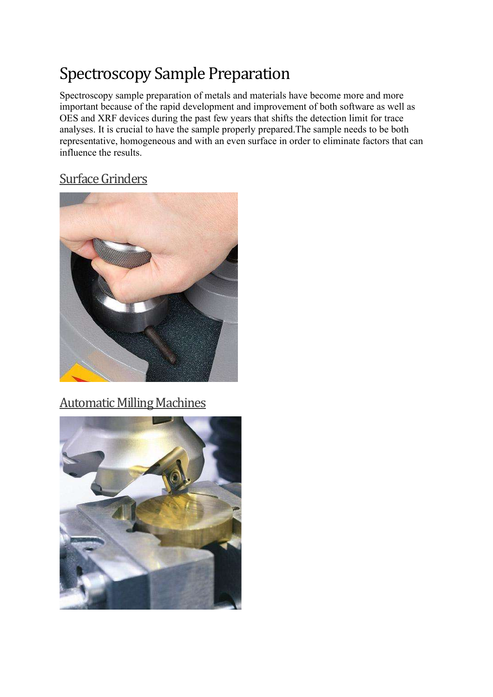# Spectroscopy Sample Preparation

Spectroscopy sample preparation of metals and materials have become more and more important because of the rapid development and improvement of both software as well as OES and XRF devices during the past few years that shifts the detection limit for trace analyses. It is crucial to have the sample properly prepared.The sample needs to be both representative, homogeneous and with an even surface in order to eliminate factors that can influence the results.

#### Surface Grinders



## Automatic Milling Machines

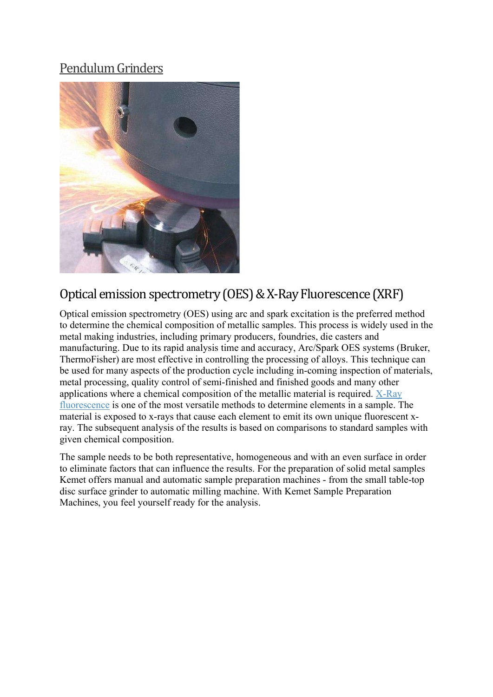#### Pendulum Grinders



## Optical emission spectrometry (OES) & X-Ray Fluorescence (XRF)

Optical emission spectrometry (OES) using arc and spark excitation is the preferred method to determine the chemical composition of metallic samples. This process is widely used in the metal making industries, including primary producers, foundries, die casters and manufacturing. Due to its rapid analysis time and accuracy, Arc/Spark OES systems (Bruker, ThermoFisher) are most effective in controlling the processing of alloys. This technique can be used for many aspects of the production cycle including in-coming inspection of materials, metal processing, quality control of semi-finished and finished goods and many other applications where a chemical composition of the metallic material is required. X-Ray fluorescence is one of the most versatile methods to determine elements in a sample. The material is exposed to x-rays that cause each element to emit its own unique fluorescent xray. The subsequent analysis of the results is based on comparisons to standard samples with given chemical composition.

The sample needs to be both representative, homogeneous and with an even surface in order to eliminate factors that can influence the results. For the preparation of solid metal samples Kemet offers manual and automatic sample preparation machines - from the small table-top disc surface grinder to automatic milling machine. With Kemet Sample Preparation Machines, you feel yourself ready for the analysis.